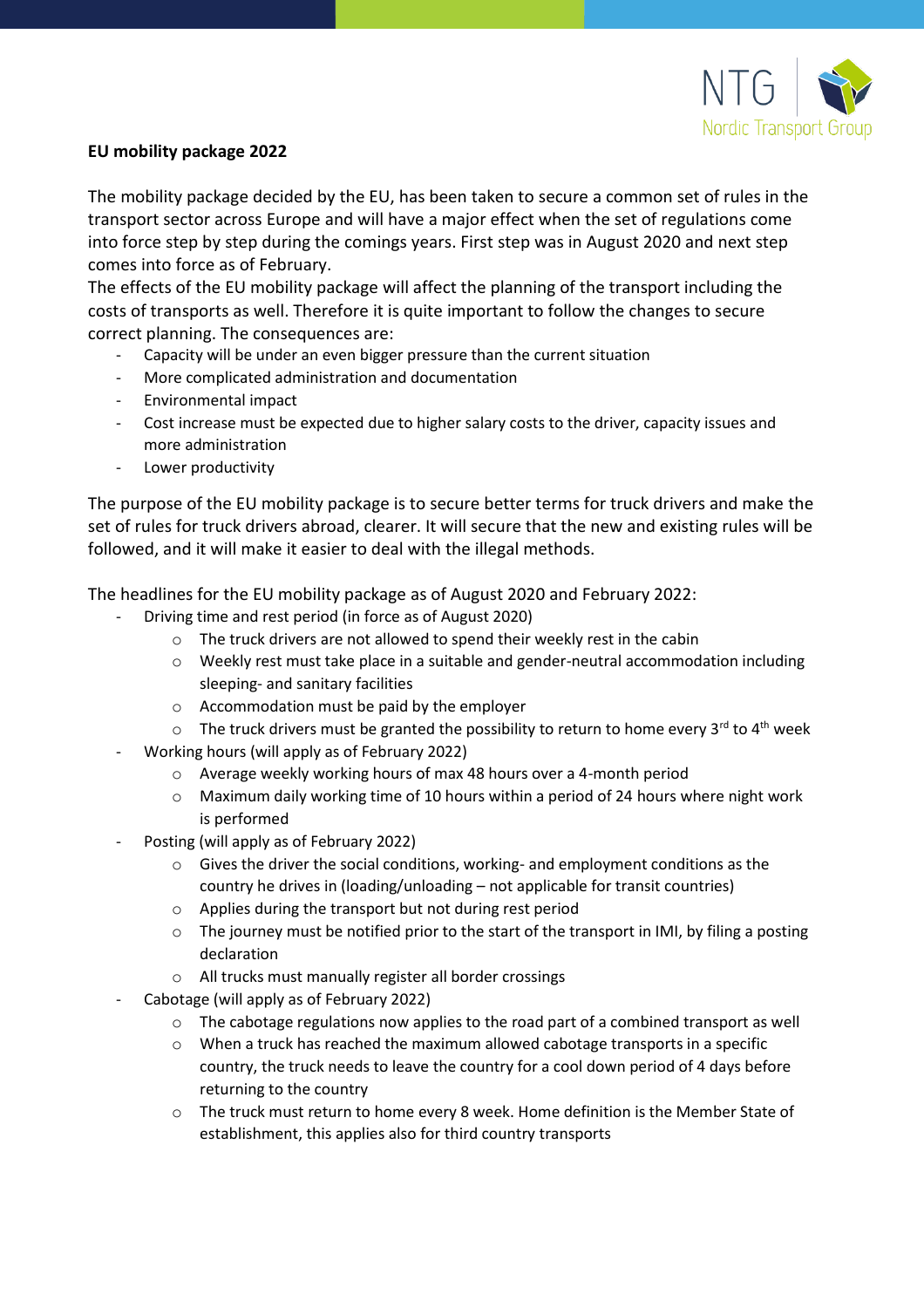

## **EU mobility package 2022**

The mobility package decided by the EU, has been taken to secure a common set of rules in the transport sector across Europe and will have a major effect when the set of regulations come into force step by step during the comings years. First step was in August 2020 and next step comes into force as of February.

The effects of the EU mobility package will affect the planning of the transport including the costs of transports as well. Therefore it is quite important to follow the changes to secure correct planning. The consequences are:

- Capacity will be under an even bigger pressure than the current situation
- More complicated administration and documentation
- Environmental impact
- Cost increase must be expected due to higher salary costs to the driver, capacity issues and more administration
- Lower productivity

The purpose of the EU mobility package is to secure better terms for truck drivers and make the set of rules for truck drivers abroad, clearer. It will secure that the new and existing rules will be followed, and it will make it easier to deal with the illegal methods.

The headlines for the EU mobility package as of August 2020 and February 2022:

- Driving time and rest period (in force as of August 2020)
	- o The truck drivers are not allowed to spend their weekly rest in the cabin
	- o Weekly rest must take place in a suitable and gender-neutral accommodation including sleeping- and sanitary facilities
	- o Accommodation must be paid by the employer
	- $\circ$  The truck drivers must be granted the possibility to return to home every 3<sup>rd</sup> to 4<sup>th</sup> week
- Working hours (will apply as of February 2022)
	- o Average weekly working hours of max 48 hours over a 4-month period
	- o Maximum daily working time of 10 hours within a period of 24 hours where night work is performed
- Posting (will apply as of February 2022)
	- $\circ$  Gives the driver the social conditions, working- and employment conditions as the country he drives in (loading/unloading – not applicable for transit countries)
	- o Applies during the transport but not during rest period
	- $\circ$  The journey must be notified prior to the start of the transport in IMI, by filing a posting declaration
	- o All trucks must manually register all border crossings
- Cabotage (will apply as of February 2022)
	- $\circ$  The cabotage regulations now applies to the road part of a combined transport as well
	- o When a truck has reached the maximum allowed cabotage transports in a specific country, the truck needs to leave the country for a cool down period of 4 days before returning to the country
	- o The truck must return to home every 8 week. Home definition is the Member State of establishment, this applies also for third country transports